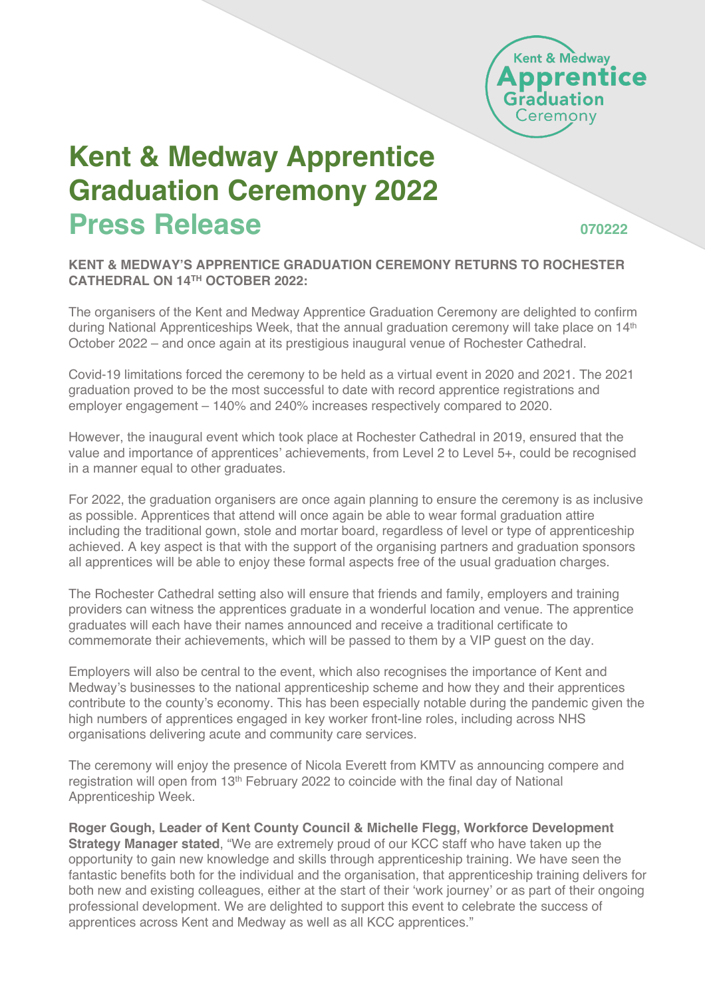

# **Kent & Medway Apprentice Graduation Ceremony 2022 Press Release <sup>070222</sup>**

#### **KENT & MEDWAY'S APPRENTICE GRADUATION CEREMONY RETURNS TO ROCHESTER CATHEDRAL ON 14TH OCTOBER 2022:**

The organisers of the Kent and Medway Apprentice Graduation Ceremony are delighted to confirm during National Apprenticeships Week, that the annual graduation ceremony will take place on 14<sup>th</sup> October 2022 – and once again at its prestigious inaugural venue of Rochester Cathedral.

Covid-19 limitations forced the ceremony to be held as a virtual event in 2020 and 2021. The 2021 graduation proved to be the most successful to date with record apprentice registrations and employer engagement – 140% and 240% increases respectively compared to 2020.

However, the inaugural event which took place at Rochester Cathedral in 2019, ensured that the value and importance of apprentices' achievements, from Level 2 to Level 5+, could be recognised in a manner equal to other graduates.

For 2022, the graduation organisers are once again planning to ensure the ceremony is as inclusive as possible. Apprentices that attend will once again be able to wear formal graduation attire including the traditional gown, stole and mortar board, regardless of level or type of apprenticeship achieved. A key aspect is that with the support of the organising partners and graduation sponsors all apprentices will be able to enjoy these formal aspects free of the usual graduation charges.

The Rochester Cathedral setting also will ensure that friends and family, employers and training providers can witness the apprentices graduate in a wonderful location and venue. The apprentice graduates will each have their names announced and receive a traditional certificate to commemorate their achievements, which will be passed to them by a VIP guest on the day.

Employers will also be central to the event, which also recognises the importance of Kent and Medway's businesses to the national apprenticeship scheme and how they and their apprentices contribute to the county's economy. This has been especially notable during the pandemic given the high numbers of apprentices engaged in key worker front-line roles, including across NHS organisations delivering acute and community care services.

The ceremony will enjoy the presence of Nicola Everett from KMTV as announcing compere and registration will open from 13th February 2022 to coincide with the final day of National Apprenticeship Week.

**Roger Gough, Leader of Kent County Council & Michelle Flegg, Workforce Development Strategy Manager stated**, "We are extremely proud of our KCC staff who have taken up the opportunity to gain new knowledge and skills through apprenticeship training. We have seen the fantastic benefits both for the individual and the organisation, that apprenticeship training delivers for both new and existing colleagues, either at the start of their 'work journey' or as part of their ongoing professional development. We are delighted to support this event to celebrate the success of apprentices across Kent and Medway as well as all KCC apprentices."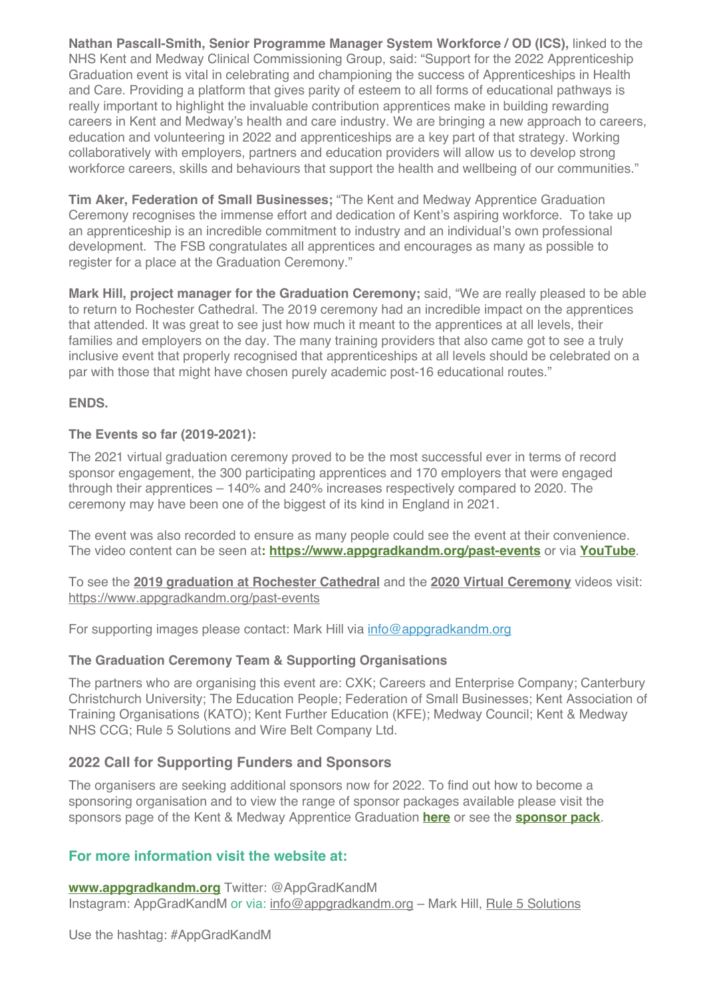**Nathan Pascall-Smith, Senior Programme Manager System Workforce / OD (ICS),** linked to the NHS Kent and Medway Clinical Commissioning Group, said: "Support for the 2022 Apprenticeship Graduation event is vital in celebrating and championing the success of Apprenticeships in Health and Care. Providing a platform that gives parity of esteem to all forms of educational pathways is really important to highlight the invaluable contribution apprentices make in building rewarding careers in Kent and Medway's health and care industry. We are bringing a new approach to careers, education and volunteering in 2022 and apprenticeships are a key part of that strategy. Working collaboratively with employers, partners and education providers will allow us to develop strong workforce careers, skills and behaviours that support the health and wellbeing of our communities."

**Tim Aker, Federation of Small Businesses;** "The Kent and Medway Apprentice Graduation Ceremony recognises the immense effort and dedication of Kent's aspiring workforce. To take up an apprenticeship is an incredible commitment to industry and an individual's own professional development. The FSB congratulates all apprentices and encourages as many as possible to register for a place at the Graduation Ceremony."

**Mark Hill, project manager for the Graduation Ceremony;** said, "We are really pleased to be able to return to Rochester Cathedral. The 2019 ceremony had an incredible impact on the apprentices that attended. It was great to see just how much it meant to the apprentices at all levels, their families and employers on the day. The many training providers that also came got to see a truly inclusive event that properly recognised that apprenticeships at all levels should be celebrated on a par with those that might have chosen purely academic post-16 educational routes."

#### **ENDS.**

#### **The Events so far (2019-2021):**

The 2021 virtual graduation ceremony proved to be the most successful ever in terms of record sponsor engagement, the 300 participating apprentices and 170 employers that were engaged through their apprentices – 140% and 240% increases respectively compared to 2020. The ceremony may have been one of the biggest of its kind in England in 2021.

The event was also recorded to ensure as many people could see the event at their convenience. The video content can be seen at**: https://www.appgradkandm.org/past-events** or via **YouTube**.

To see the **2019 graduation at Rochester Cathedral** and the **2020 Virtual Ceremony** videos visit: https://www.appgradkandm.org/past-events

For supporting images please contact: Mark Hill via info@appgradkandm.org

#### **The Graduation Ceremony Team & Supporting Organisations**

The partners who are organising this event are: CXK; Careers and Enterprise Company; Canterbury Christchurch University; The Education People; Federation of Small Businesses; Kent Association of Training Organisations (KATO); Kent Further Education (KFE); Medway Council; Kent & Medway NHS CCG; Rule 5 Solutions and Wire Belt Company Ltd.

#### **2022 Call for Supporting Funders and Sponsors**

The organisers are seeking additional sponsors now for 2022. To find out how to become a sponsoring organisation and to view the range of sponsor packages available please visit the sponsors page of the Kent & Medway Apprentice Graduation **here** or see the **sponsor pack**.

#### **For more information visit the website at:**

**www.appgradkandm.org** Twitter: @AppGradKandM Instagram: AppGradKandM or via: info@appgradkandm.org – Mark Hill, Rule 5 Solutions

Use the hashtag: #AppGradKandM